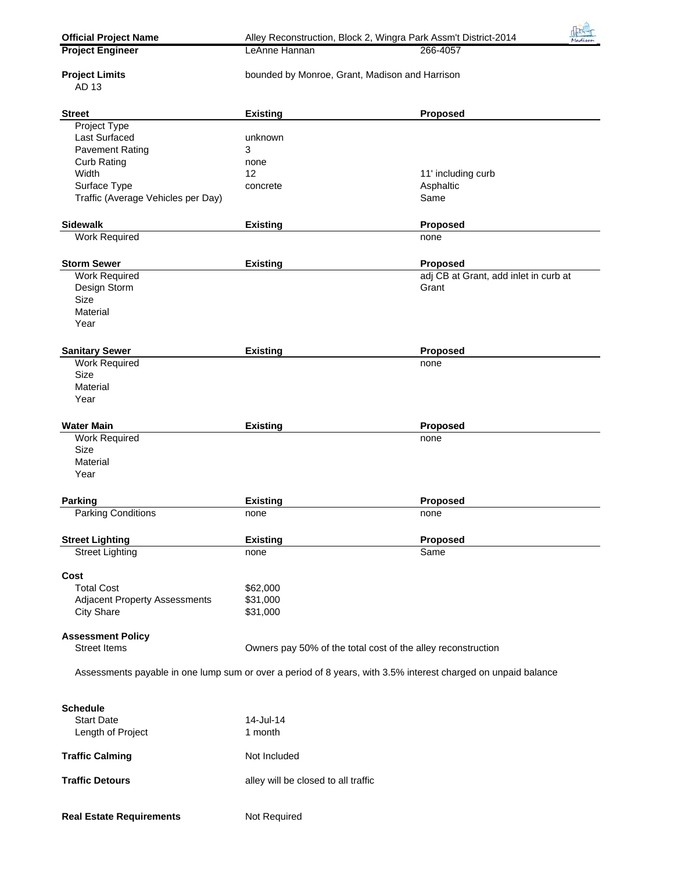| <b>Official Project Name</b><br><b>Project Engineer</b> | Alley Reconstruction, Block 2, Wingra Park Assm't District-2014<br>LeAnne Hannan                              | Madison<br>266-4057                   |
|---------------------------------------------------------|---------------------------------------------------------------------------------------------------------------|---------------------------------------|
|                                                         |                                                                                                               |                                       |
| <b>Project Limits</b>                                   | bounded by Monroe, Grant, Madison and Harrison                                                                |                                       |
| AD 13                                                   |                                                                                                               |                                       |
| <b>Street</b>                                           | <b>Existing</b>                                                                                               | Proposed                              |
| Project Type                                            |                                                                                                               |                                       |
| Last Surfaced                                           | unknown                                                                                                       |                                       |
| <b>Pavement Rating</b>                                  | 3                                                                                                             |                                       |
| <b>Curb Rating</b>                                      | none                                                                                                          |                                       |
| Width                                                   | 12                                                                                                            | 11' including curb                    |
| Surface Type                                            | concrete                                                                                                      | Asphaltic                             |
| Traffic (Average Vehicles per Day)                      |                                                                                                               | Same                                  |
| <b>Sidewalk</b>                                         | <b>Existing</b>                                                                                               | Proposed                              |
| <b>Work Required</b>                                    |                                                                                                               | none                                  |
|                                                         |                                                                                                               |                                       |
| <b>Storm Sewer</b>                                      | <b>Existing</b>                                                                                               | Proposed                              |
| <b>Work Required</b>                                    |                                                                                                               | adj CB at Grant, add inlet in curb at |
| Design Storm                                            |                                                                                                               | Grant                                 |
| <b>Size</b><br>Material                                 |                                                                                                               |                                       |
| Year                                                    |                                                                                                               |                                       |
|                                                         |                                                                                                               |                                       |
| <b>Sanitary Sewer</b>                                   | <b>Existing</b>                                                                                               | Proposed                              |
| <b>Work Required</b>                                    |                                                                                                               | none                                  |
| <b>Size</b>                                             |                                                                                                               |                                       |
| Material                                                |                                                                                                               |                                       |
| Year                                                    |                                                                                                               |                                       |
| <b>Water Main</b>                                       | <b>Existing</b>                                                                                               | Proposed                              |
| <b>Work Required</b>                                    |                                                                                                               | none                                  |
| <b>Size</b>                                             |                                                                                                               |                                       |
| Material                                                |                                                                                                               |                                       |
| Year                                                    |                                                                                                               |                                       |
|                                                         |                                                                                                               |                                       |
| <b>Parking</b><br><b>Parking Conditions</b>             | <b>Existing</b>                                                                                               | <b>Proposed</b>                       |
|                                                         | none                                                                                                          | none                                  |
| <b>Street Lighting</b>                                  | <b>Existing</b>                                                                                               | Proposed                              |
| <b>Street Lighting</b>                                  | none                                                                                                          | Same                                  |
| Cost                                                    |                                                                                                               |                                       |
| <b>Total Cost</b>                                       | \$62,000                                                                                                      |                                       |
| <b>Adjacent Property Assessments</b>                    | \$31,000                                                                                                      |                                       |
| <b>City Share</b>                                       | \$31,000                                                                                                      |                                       |
| <b>Assessment Policy</b>                                |                                                                                                               |                                       |
| <b>Street Items</b>                                     | Owners pay 50% of the total cost of the alley reconstruction                                                  |                                       |
|                                                         |                                                                                                               |                                       |
|                                                         | Assessments payable in one lump sum or over a period of 8 years, with 3.5% interest charged on unpaid balance |                                       |
|                                                         |                                                                                                               |                                       |
| <b>Schedule</b><br><b>Start Date</b>                    | 14-Jul-14                                                                                                     |                                       |
| Length of Project                                       | 1 month                                                                                                       |                                       |
|                                                         |                                                                                                               |                                       |
| <b>Traffic Calming</b>                                  | Not Included                                                                                                  |                                       |
|                                                         |                                                                                                               |                                       |
| <b>Traffic Detours</b>                                  | alley will be closed to all traffic                                                                           |                                       |
|                                                         |                                                                                                               |                                       |
| <b>Real Estate Requirements</b>                         | Not Required                                                                                                  |                                       |